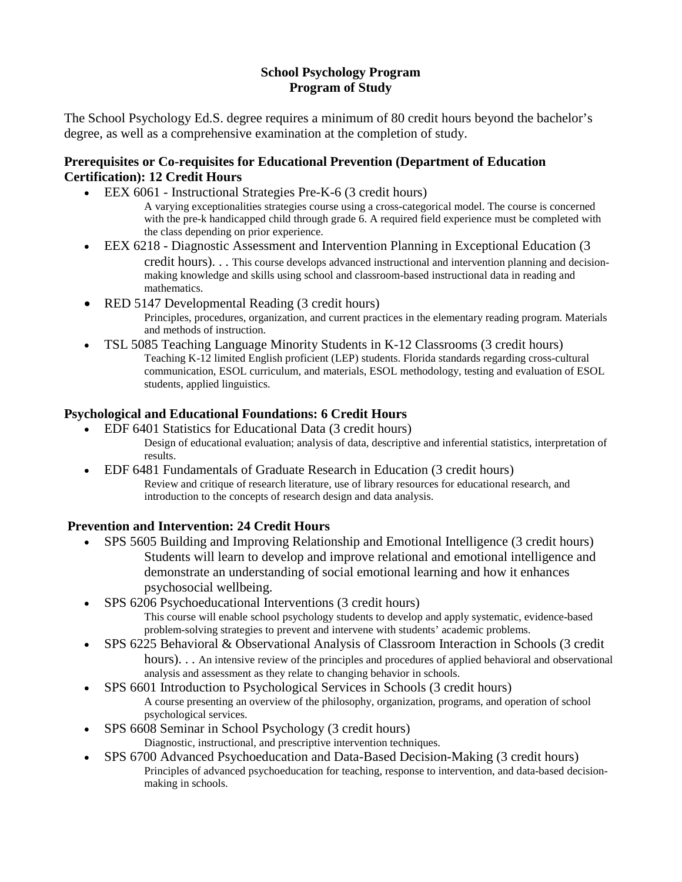#### **School Psychology Program Program of Study**

The School Psychology Ed.S. degree requires a minimum of 80 credit hours beyond the bachelor's degree, as well as a comprehensive examination at the completion of study.

#### **Prerequisites or Co-requisites for Educational Prevention (Department of Education Certification): 12 Credit Hours**

- EEX 6061 Instructional Strategies Pre-K-6 (3 credit hours)
	- A varying exceptionalities strategies course using a cross-categorical model. The course is concerned with the pre-k handicapped child through grade 6. A required field experience must be completed with the class depending on prior experience.
- EEX 6218 Diagnostic Assessment and Intervention Planning in Exceptional Education (3) credit hours). . . This course develops advanced instructional and intervention planning and decisionmaking knowledge and skills using school and classroom-based instructional data in reading and mathematics.
- RED 5147 Developmental Reading (3 credit hours) Principles, procedures, organization, and current practices in the elementary reading program. Materials and methods of instruction.
- TSL 5085 Teaching Language Minority Students in K-12 Classrooms (3 credit hours) Teaching K-12 limited English proficient (LEP) students. Florida standards regarding cross-cultural communication, ESOL curriculum, and materials, ESOL methodology, testing and evaluation of ESOL students, applied linguistics.

# **Psychological and Educational Foundations: 6 Credit Hours**

- EDF 6401 Statistics for Educational Data (3 credit hours) Design of educational evaluation; analysis of data, descriptive and inferential statistics, interpretation of results.
- EDF 6481 Fundamentals of Graduate Research in Education (3 credit hours) Review and critique of research literature, use of library resources for educational research, and introduction to the concepts of research design and data analysis.

# **Prevention and Intervention: 24 Credit Hours**

- SPS 5605 Building and Improving Relationship and Emotional Intelligence (3 credit hours) Students will learn to develop and improve relational and emotional intelligence and demonstrate an understanding of social emotional learning and how it enhances psychosocial wellbeing.
- SPS 6206 Psychoeducational Interventions (3 credit hours) This course will enable school psychology students to develop and apply systematic, evidence-based problem-solving strategies to prevent and intervene with students' academic problems.
- SPS 6225 Behavioral & Observational Analysis of Classroom Interaction in Schools (3 credit hours). . . An intensive review of the principles and procedures of applied behavioral and observational analysis and assessment as they relate to changing behavior in schools.
- SPS 6601 Introduction to Psychological Services in Schools (3 credit hours)
	- A course presenting an overview of the philosophy, organization, programs, and operation of school psychological services.
- SPS 6608 Seminar in School Psychology (3 credit hours)
	- Diagnostic, instructional, and prescriptive intervention techniques.
- SPS 6700 Advanced Psychoeducation and Data-Based Decision-Making (3 credit hours) Principles of advanced psychoeducation for teaching, response to intervention, and data-based decisionmaking in schools.